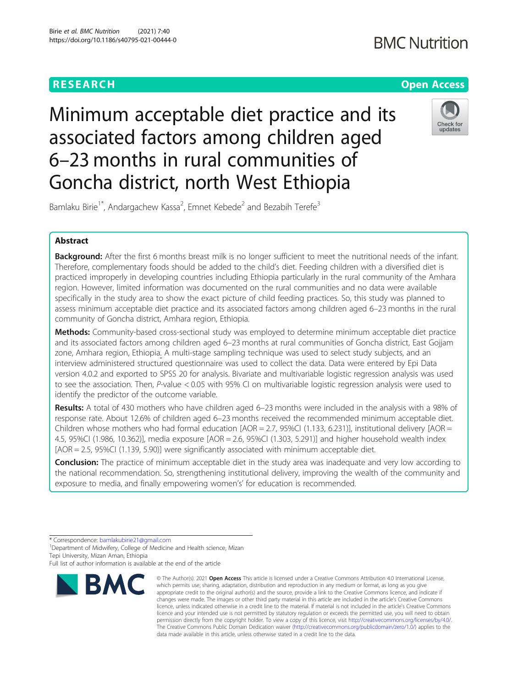# **BMC Nutrition**



Minimum acceptable diet practice and its associated factors among children aged 6–23 months in rural communities of Goncha district, north West Ethiopia



Bamlaku Birie<sup>1\*</sup>, Andargachew Kassa<sup>2</sup>, Emnet Kebede<sup>2</sup> and Bezabih Terefe<sup>3</sup>

# Abstract

Background: After the first 6 months breast milk is no longer sufficient to meet the nutritional needs of the infant. Therefore, complementary foods should be added to the child's diet. Feeding children with a diversified diet is practiced improperly in developing countries including Ethiopia particularly in the rural community of the Amhara region. However, limited information was documented on the rural communities and no data were available specifically in the study area to show the exact picture of child feeding practices. So, this study was planned to assess minimum acceptable diet practice and its associated factors among children aged 6–23 months in the rural community of Goncha district, Amhara region, Ethiopia.

Methods: Community-based cross-sectional study was employed to determine minimum acceptable diet practice and its associated factors among children aged 6–23 months at rural communities of Goncha district, East Gojjam zone, Amhara region, Ethiopia. A multi-stage sampling technique was used to select study subjects, and an interview administered structured questionnaire was used to collect the data. Data were entered by Epi Data version 4.0.2 and exported to SPSS 20 for analysis. Bivariate and multivariable logistic regression analysis was used to see the association. Then, P-value < 0.05 with 95% CI on multivariable logistic regression analysis were used to identify the predictor of the outcome variable.

Results: A total of 430 mothers who have children aged 6–23 months were included in the analysis with a 98% of response rate. About 12.6% of children aged 6–23 months received the recommended minimum acceptable diet. Children whose mothers who had formal education  $[AOR = 2.7, 95\%C1 (1.133, 6.231)]$ , institutional delivery  $[AOR = 1.133, 1.133]$ 4.5, 95%CI (1.986, 10.362)], media exposure [AOR = 2.6, 95%CI (1.303, 5.291)] and higher household wealth index [AOR = 2.5, 95%CI (1.139, 5.90)] were significantly associated with minimum acceptable diet.

**Conclusion:** The practice of minimum acceptable diet in the study area was inadequate and very low according to the national recommendation. So, strengthening institutional delivery, improving the wealth of the community and exposure to media, and finally empowering women's' for education is recommended.

\* Correspondence: [bamlakubirie21@gmail.com](mailto:bamlakubirie21@gmail.com) <sup>1</sup>

<sup>1</sup>Department of Midwifery, College of Medicine and Health science, Mizan Tepi University, Mizan Aman, Ethiopia

Full list of author information is available at the end of the article



<sup>©</sup> The Author(s), 2021 **Open Access** This article is licensed under a Creative Commons Attribution 4.0 International License, which permits use, sharing, adaptation, distribution and reproduction in any medium or format, as long as you give appropriate credit to the original author(s) and the source, provide a link to the Creative Commons licence, and indicate if changes were made. The images or other third party material in this article are included in the article's Creative Commons licence, unless indicated otherwise in a credit line to the material. If material is not included in the article's Creative Commons licence and your intended use is not permitted by statutory regulation or exceeds the permitted use, you will need to obtain permission directly from the copyright holder. To view a copy of this licence, visit [http://creativecommons.org/licenses/by/4.0/.](http://creativecommons.org/licenses/by/4.0/) The Creative Commons Public Domain Dedication waiver [\(http://creativecommons.org/publicdomain/zero/1.0/](http://creativecommons.org/publicdomain/zero/1.0/)) applies to the data made available in this article, unless otherwise stated in a credit line to the data.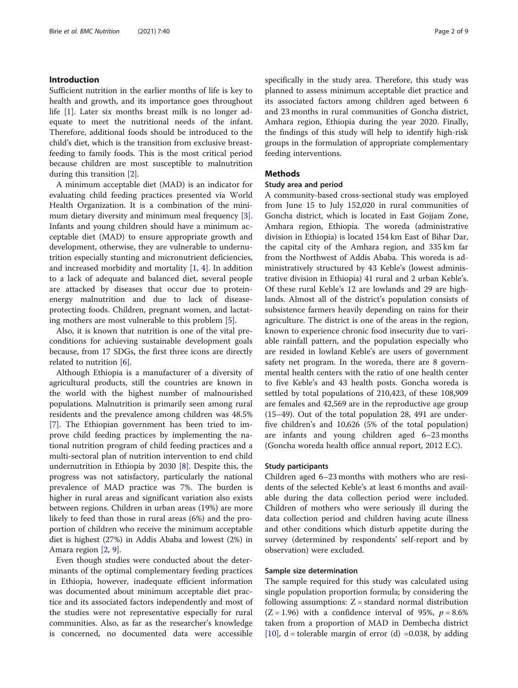# Introduction

Sufficient nutrition in the earlier months of life is key to health and growth, and its importance goes throughout life [[1\]](#page-8-0). Later six months breast milk is no longer adequate to meet the nutritional needs of the infant. Therefore, additional foods should be introduced to the child's diet, which is the transition from exclusive breastfeeding to family foods. This is the most critical period because children are most susceptible to malnutrition during this transition [[2\]](#page-8-0).

A minimum acceptable diet (MAD) is an indicator for evaluating child feeding practices presented via World Health Organization. It is a combination of the minimum dietary diversity and minimum meal frequency [\[3](#page-8-0)]. Infants and young children should have a minimum acceptable diet (MAD) to ensure appropriate growth and development, otherwise, they are vulnerable to undernutrition especially stunting and micronutrient deficiencies, and increased morbidity and mortality [\[1](#page-8-0), [4\]](#page-8-0). In addition to a lack of adequate and balanced diet, several people are attacked by diseases that occur due to proteinenergy malnutrition and due to lack of diseaseprotecting foods. Children, pregnant women, and lactating mothers are most vulnerable to this problem [\[5](#page-8-0)].

Also, it is known that nutrition is one of the vital preconditions for achieving sustainable development goals because, from 17 SDGs, the first three icons are directly related to nutrition [\[6](#page-8-0)].

Although Ethiopia is a manufacturer of a diversity of agricultural products, still the countries are known in the world with the highest number of malnourished populations. Malnutrition is primarily seen among rural residents and the prevalence among children was 48.5% [[7\]](#page-8-0). The Ethiopian government has been tried to improve child feeding practices by implementing the national nutrition program of child feeding practices and a multi-sectoral plan of nutrition intervention to end child undernutrition in Ethiopia by 2030 [\[8](#page-8-0)]. Despite this, the progress was not satisfactory, particularly the national prevalence of MAD practice was 7%. The burden is higher in rural areas and significant variation also exists between regions. Children in urban areas (19%) are more likely to feed than those in rural areas (6%) and the proportion of children who receive the minimum acceptable diet is highest (27%) in Addis Ababa and lowest (2%) in Amara region [\[2](#page-8-0), [9](#page-8-0)].

Even though studies were conducted about the determinants of the optimal complementary feeding practices in Ethiopia, however, inadequate efficient information was documented about minimum acceptable diet practice and its associated factors independently and most of the studies were not representative especially for rural communities. Also, as far as the researcher's knowledge is concerned, no documented data were accessible specifically in the study area. Therefore, this study was planned to assess minimum acceptable diet practice and its associated factors among children aged between 6 and 23 months in rural communities of Goncha district, Amhara region, Ethiopia during the year 2020. Finally, the findings of this study will help to identify high-risk groups in the formulation of appropriate complementary feeding interventions.

# **Methods**

#### Study area and period

A community-based cross-sectional study was employed from June 15 to July 152,020 in rural communities of Goncha district, which is located in East Gojjam Zone, Amhara region, Ethiopia. The woreda (administrative division in Ethiopia) is located 154 km East of Bihar Dar, the capital city of the Amhara region, and 335 km far from the Northwest of Addis Ababa. This woreda is administratively structured by 43 Keble's (lowest administrative division in Ethiopia) 41 rural and 2 urban Keble's. Of these rural Keble's 12 are lowlands and 29 are highlands. Almost all of the district's population consists of subsistence farmers heavily depending on rains for their agriculture. The district is one of the areas in the region, known to experience chronic food insecurity due to variable rainfall pattern, and the population especially who are resided in lowland Keble's are users of government safety net program. In the woreda, there are 8 governmental health centers with the ratio of one health center to five Keble's and 43 health posts. Goncha woreda is settled by total populations of 210,423, of these 108,909 are females and 42,569 are in the reproductive age group (15–49). Out of the total population 28, 491 are underfive children's and 10,626 (5% of the total population) are infants and young children aged 6–23 months (Goncha woreda health office annual report, 2012 E.C).

#### Study participants

Children aged 6–23 months with mothers who are residents of the selected Keble's at least 6 months and available during the data collection period were included. Children of mothers who were seriously ill during the data collection period and children having acute illness and other conditions which disturb appetite during the survey (determined by respondents' self-report and by observation) were excluded.

#### Sample size determination

The sample required for this study was calculated using single population proportion formula; by considering the following assumptions:  $Z =$  standard normal distribution  $(Z = 1.96)$  with a confidence interval of 95%,  $p = 8.6\%$ taken from a proportion of MAD in Dembecha district [[10\]](#page-8-0),  $d =$  tolerable margin of error (d) =0.038, by adding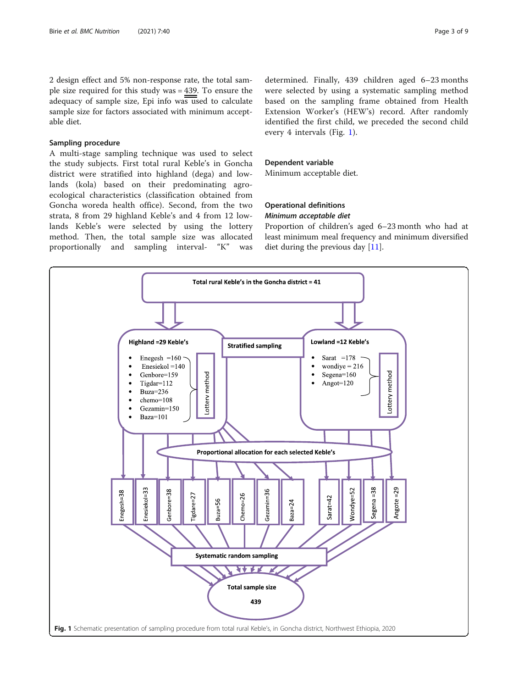2 design effect and 5% non-response rate, the total sample size required for this study was = 439. To ensure the adequacy of sample size, Epi info was used to calculate sample size for factors associated with minimum acceptable diet.

# Sampling procedure

A multi-stage sampling technique was used to select the study subjects. First total rural Keble's in Goncha district were stratified into highland (dega) and lowlands (kola) based on their predominating agroecological characteristics (classification obtained from Goncha woreda health office). Second, from the two strata, 8 from 29 highland Keble's and 4 from 12 lowlands Keble's were selected by using the lottery method. Then, the total sample size was allocated proportionally and sampling interval- "K" was

determined. Finally, 439 children aged 6–23 months were selected by using a systematic sampling method based on the sampling frame obtained from Health Extension Worker's (HEW's) record. After randomly identified the first child, we preceded the second child every 4 intervals (Fig. 1).

#### Dependent variable

Minimum acceptable diet.

# Operational definitions Minimum acceptable diet

Proportion of children's aged 6–23 month who had at least minimum meal frequency and minimum diversified diet during the previous day  $[11]$  $[11]$ .

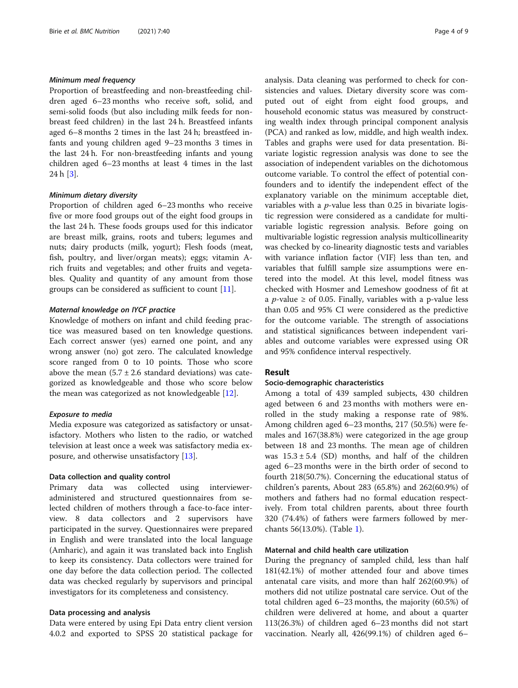#### Minimum meal frequency

Proportion of breastfeeding and non-breastfeeding children aged 6–23 months who receive soft, solid, and semi-solid foods (but also including milk feeds for nonbreast feed children) in the last 24 h. Breastfeed infants aged 6–8 months 2 times in the last 24 h; breastfeed infants and young children aged 9–23 months 3 times in the last 24 h. For non-breastfeeding infants and young children aged 6–23 months at least 4 times in the last 24 h [[3\]](#page-8-0).

#### Minimum dietary diversity

Proportion of children aged 6–23 months who receive five or more food groups out of the eight food groups in the last 24 h. These foods groups used for this indicator are breast milk, grains, roots and tubers; legumes and nuts; dairy products (milk, yogurt); Flesh foods (meat, fish, poultry, and liver/organ meats); eggs; vitamin Arich fruits and vegetables; and other fruits and vegetables. Quality and quantity of any amount from those groups can be considered as sufficient to count [\[11](#page-8-0)].

#### Maternal knowledge on IYCF practice

Knowledge of mothers on infant and child feeding practice was measured based on ten knowledge questions. Each correct answer (yes) earned one point, and any wrong answer (no) got zero. The calculated knowledge score ranged from 0 to 10 points. Those who score above the mean  $(5.7 \pm 2.6 \text{ standard deviations})$  was categorized as knowledgeable and those who score below the mean was categorized as not knowledgeable [[12\]](#page-8-0).

### Exposure to media

Media exposure was categorized as satisfactory or unsatisfactory. Mothers who listen to the radio, or watched television at least once a week was satisfactory media exposure, and otherwise unsatisfactory [\[13\]](#page-8-0).

#### Data collection and quality control

Primary data was collected using intervieweradministered and structured questionnaires from selected children of mothers through a face-to-face interview. 8 data collectors and 2 supervisors have participated in the survey. Questionnaires were prepared in English and were translated into the local language (Amharic), and again it was translated back into English to keep its consistency. Data collectors were trained for one day before the data collection period. The collected data was checked regularly by supervisors and principal investigators for its completeness and consistency.

#### Data processing and analysis

Data were entered by using Epi Data entry client version 4.0.2 and exported to SPSS 20 statistical package for analysis. Data cleaning was performed to check for consistencies and values. Dietary diversity score was computed out of eight from eight food groups, and household economic status was measured by constructing wealth index through principal component analysis (PCA) and ranked as low, middle, and high wealth index. Tables and graphs were used for data presentation. Bivariate logistic regression analysis was done to see the association of independent variables on the dichotomous outcome variable. To control the effect of potential confounders and to identify the independent effect of the explanatory variable on the minimum acceptable diet, variables with a  $p$ -value less than 0.25 in bivariate logistic regression were considered as a candidate for multivariable logistic regression analysis. Before going on multivariable logistic regression analysis multicollinearity was checked by co-linearity diagnostic tests and variables with variance inflation factor (VIF} less than ten, and variables that fulfill sample size assumptions were entered into the model. At this level, model fitness was checked with Hosmer and Lemeshow goodness of fit at a *p*-value  $\geq$  of 0.05. Finally, variables with a p-value less than 0.05 and 95% CI were considered as the predictive for the outcome variable. The strength of associations and statistical significances between independent variables and outcome variables were expressed using OR and 95% confidence interval respectively.

### Result

#### Socio-demographic characteristics

Among a total of 439 sampled subjects, 430 children aged between 6 and 23 months with mothers were enrolled in the study making a response rate of 98%. Among children aged 6–23 months, 217 (50.5%) were females and 167(38.8%) were categorized in the age group between 18 and 23 months. The mean age of children was  $15.3 \pm 5.4$  (SD) months, and half of the children aged 6–23 months were in the birth order of second to fourth 218(50.7%). Concerning the educational status of children's parents, About 283 (65.8%) and 262(60.9%) of mothers and fathers had no formal education respectively. From total children parents, about three fourth 320 (74.4%) of fathers were farmers followed by merchants 56(13.0%). (Table [1](#page-4-0)).

# Maternal and child health care utilization

During the pregnancy of sampled child, less than half 181(42.1%) of mother attended four and above times antenatal care visits, and more than half 262(60.9%) of mothers did not utilize postnatal care service. Out of the total children aged 6–23 months, the majority (60.5%) of children were delivered at home, and about a quarter 113(26.3%) of children aged 6–23 months did not start vaccination. Nearly all, 426(99.1%) of children aged 6–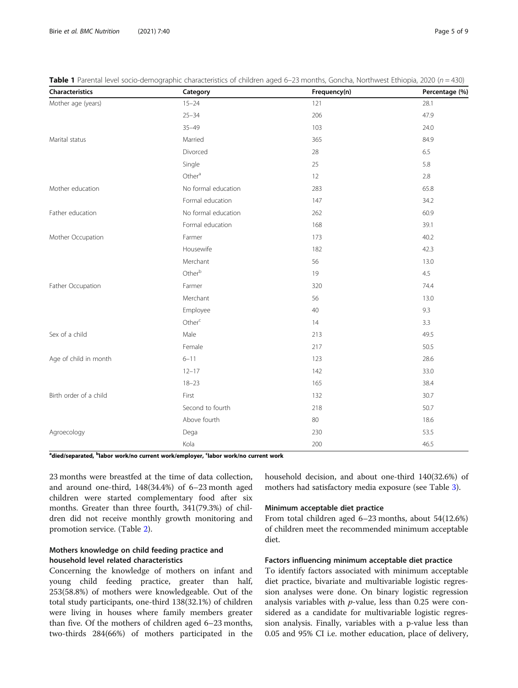| Characteristics        | Category            | Frequency(n) | Percentage (%) |
|------------------------|---------------------|--------------|----------------|
| Mother age (years)     | $15 - 24$           | 121          | 28.1           |
|                        | $25 - 34$           | 206          | 47.9           |
|                        | $35 - 49$           | 103          | 24.0           |
| Marital status         | Married             | 365          | 84.9           |
|                        | Divorced            | 28           | 6.5            |
|                        | Single              | 25           | 5.8            |
|                        | Other <sup>a</sup>  | 12           | 2.8            |
| Mother education       | No formal education | 283          | 65.8           |
|                        | Formal education    | 147          | 34.2           |
| Father education       | No formal education | 262          | 60.9           |
|                        | Formal education    | 168          | 39.1           |
| Mother Occupation      | Farmer              | 173          | 40.2           |
|                        | Housewife           | 182          | 42.3           |
|                        | Merchant            | 56           | 13.0           |
|                        | Otherb              | 19           | 4.5            |
| Father Occupation      | Farmer              | 320          | 74.4           |
|                        | Merchant            | 56           | 13.0           |
|                        | Employee            | 40           | 9.3            |
|                        | Other <sup>c</sup>  | 14           | 3.3            |
| Sex of a child         | Male                | 213          | 49.5           |
|                        | Female              | 217          | 50.5           |
| Age of child in month  | $6 - 11$            | 123          | 28.6           |
|                        | $12 - 17$           | 142          | 33.0           |
|                        | $18 - 23$           | 165          | 38.4           |
| Birth order of a child | First               | 132          | 30.7           |
|                        | Second to fourth    | 218          | 50.7           |
|                        | Above fourth        | 80           | 18.6           |
| Agroecology            | Dega                | 230          | 53.5           |
|                        | Kola                | 200          | 46.5           |

<span id="page-4-0"></span>**Table 1** Parental level socio-demographic characteristics of children aged 6–23 months, Goncha, Northwest Ethiopia, 2020 ( $n = 430$ )

<sup>a</sup>died/separated, <sup>b</sup>labor work/no current work/employer, <sup>c</sup>labor work/no current work

23 months were breastfed at the time of data collection, and around one-third, 148(34.4%) of 6–23 month aged children were started complementary food after six months. Greater than three fourth, 341(79.3%) of children did not receive monthly growth monitoring and promotion service. (Table [2](#page-5-0)).

# Mothers knowledge on child feeding practice and household level related characteristics

Concerning the knowledge of mothers on infant and young child feeding practice, greater than half, 253(58.8%) of mothers were knowledgeable. Out of the total study participants, one-third 138(32.1%) of children were living in houses where family members greater than five. Of the mothers of children aged 6–23 months, two-thirds 284(66%) of mothers participated in the household decision, and about one-third 140(32.6%) of mothers had satisfactory media exposure (see Table [3\)](#page-5-0).

## Minimum acceptable diet practice

From total children aged 6–23 months, about 54(12.6%) of children meet the recommended minimum acceptable diet.

#### Factors influencing minimum acceptable diet practice

To identify factors associated with minimum acceptable diet practice, bivariate and multivariable logistic regression analyses were done. On binary logistic regression analysis variables with  $p$ -value, less than 0.25 were considered as a candidate for multivariable logistic regression analysis. Finally, variables with a p-value less than 0.05 and 95% CI i.e. mother education, place of delivery,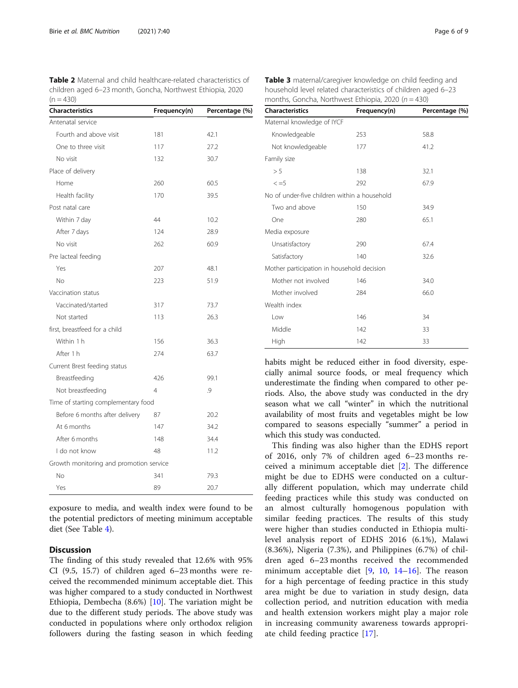<span id="page-5-0"></span>Table 2 Maternal and child healthcare-related characteristics of children aged 6–23 month, Goncha, Northwest Ethiopia, 2020  $(n = 430)$ 

| <b>Characteristics</b>                  | Frequency(n) | Percentage (%) |  |
|-----------------------------------------|--------------|----------------|--|
| Antenatal service                       |              |                |  |
| Fourth and above visit                  | 181          | 42.1           |  |
| One to three visit                      | 117          | 27.2           |  |
| No visit                                | 132          | 30.7           |  |
| Place of delivery                       |              |                |  |
| Home                                    | 260          | 60.5           |  |
| Health facility                         | 170          | 39.5           |  |
| Post natal care                         |              |                |  |
| Within 7 day                            | 44           | 10.2           |  |
| After 7 days                            | 124          | 28.9           |  |
| No visit                                | 262          | 60.9           |  |
| Pre lacteal feeding                     |              |                |  |
| Yes                                     | 207          | 48.1           |  |
| <b>No</b>                               | 223          | 51.9           |  |
| Vaccination status                      |              |                |  |
| Vaccinated/started                      | 317          | 73.7           |  |
| Not started                             | 113          | 26.3           |  |
| first, breastfeed for a child           |              |                |  |
| Within 1 h                              | 156          | 36.3           |  |
| After 1 h                               | 274          | 63.7           |  |
| Current Brest feeding status            |              |                |  |
| Breastfeeding                           | 426          | 99.1           |  |
| Not breastfeeding                       | 4            | .9             |  |
| Time of starting complementary food     |              |                |  |
| Before 6 months after delivery          | 87           | 20.2           |  |
| At 6 months                             | 147          | 34.2           |  |
| After 6 months                          | 148          | 34.4           |  |
| I do not know                           | 48           | 11.2           |  |
| Growth monitoring and promotion service |              |                |  |
| No                                      | 341          | 79.3           |  |
| Yes                                     | 89           | 20.7           |  |

exposure to media, and wealth index were found to be the potential predictors of meeting minimum acceptable diet (See Table [4\)](#page-6-0).

# **Discussion**

The finding of this study revealed that 12.6% with 95% CI (9.5, 15.7) of children aged 6–23 months were received the recommended minimum acceptable diet. This was higher compared to a study conducted in Northwest Ethiopia, Dembecha (8.6%) [\[10](#page-8-0)]. The variation might be due to the different study periods. The above study was conducted in populations where only orthodox religion followers during the fasting season in which feeding

Table 3 maternal/caregiver knowledge on child feeding and household level related characteristics of children aged 6–23 months, Goncha, Northwest Ethiopia, 2020 ( $n = 430$ )

| <b>Characteristics</b>                       | Frequency(n) | Percentage (%) |  |
|----------------------------------------------|--------------|----------------|--|
| Maternal knowledge of IYCF                   |              |                |  |
| Knowledgeable                                | 253          | 58.8           |  |
| Not knowledgeable                            | 177          | 41.2           |  |
| Family size                                  |              |                |  |
| > 5                                          | 138          | 32.1           |  |
| $\leq$ = 5                                   | 292          | 67.9           |  |
| No of under-five children within a household |              |                |  |
| Two and above                                | 150          | 34.9           |  |
| One                                          | 280          | 65.1           |  |
| Media exposure                               |              |                |  |
| Unsatisfactory                               | 290          | 67.4           |  |
| Satisfactory                                 | 140          | 32.6           |  |
| Mother participation in household decision   |              |                |  |
| Mother not involved                          | 146          | 34.0           |  |
| Mother involved                              | 284          | 66.0           |  |
| Wealth index                                 |              |                |  |
| Low                                          | 146          | 34             |  |
| Middle                                       | 142          | 33             |  |
| High                                         | 142          | 33             |  |

habits might be reduced either in food diversity, especially animal source foods, or meal frequency which underestimate the finding when compared to other periods. Also, the above study was conducted in the dry season what we call "winter" in which the nutritional availability of most fruits and vegetables might be low compared to seasons especially "summer" a period in which this study was conducted.

This finding was also higher than the EDHS report of 2016, only 7% of children aged 6–23 months received a minimum acceptable diet [\[2](#page-8-0)]. The difference might be due to EDHS were conducted on a culturally different population, which may underrate child feeding practices while this study was conducted on an almost culturally homogenous population with similar feeding practices. The results of this study were higher than studies conducted in Ethiopia multilevel analysis report of EDHS 2016 (6.1%), Malawi (8.36%), Nigeria (7.3%), and Philippines (6.7%) of children aged 6–23 months received the recommended minimum acceptable diet  $[9, 10, 14-16]$  $[9, 10, 14-16]$  $[9, 10, 14-16]$  $[9, 10, 14-16]$  $[9, 10, 14-16]$  $[9, 10, 14-16]$  $[9, 10, 14-16]$  $[9, 10, 14-16]$ . The reason for a high percentage of feeding practice in this study area might be due to variation in study design, data collection period, and nutrition education with media and health extension workers might play a major role in increasing community awareness towards appropriate child feeding practice [[17\]](#page-8-0).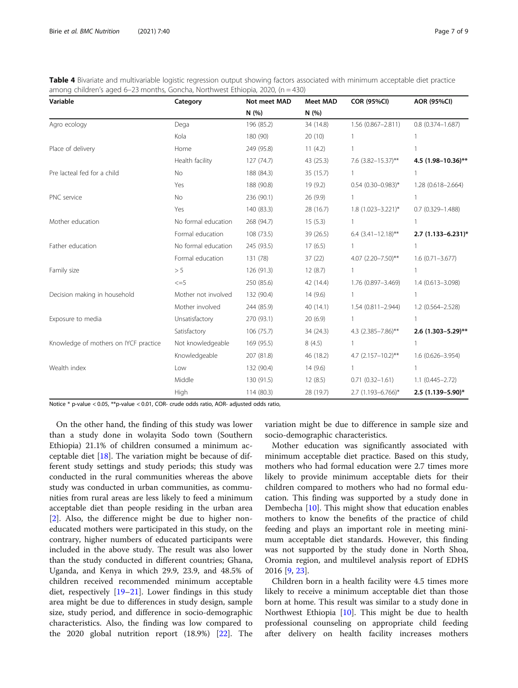<span id="page-6-0"></span>

| Table 4 Bivariate and multivariable logistic regression output showing factors associated with minimum acceptable diet practice |
|---------------------------------------------------------------------------------------------------------------------------------|
| among children's aged 6–23 months, Goncha, Northwest Ethiopia, 2020, $(n = 430)$                                                |

| Variable                              | Category            | Not meet MAD | <b>Meet MAD</b> | <b>COR (95%CI)</b>        | <b>AOR (95%CI)</b>   |
|---------------------------------------|---------------------|--------------|-----------------|---------------------------|----------------------|
|                                       |                     | N(%)         | N (%)           |                           |                      |
| Agro ecology                          | Dega                | 196 (85.2)   | 34 (14.8)       | 1.56 (0.867-2.811)        | $0.8(0.374 - 1.687)$ |
|                                       | Kola                | 180 (90)     | 20(10)          |                           |                      |
| Place of delivery                     | Home                | 249 (95.8)   | 11(4.2)         | 1                         |                      |
|                                       | Health facility     | 127(74.7)    | 43 (25.3)       | 7.6 (3.82-15.37)**        | 4.5 (1.98-10.36)**   |
| Pre lacteal fed for a child           | No                  | 188 (84.3)   | 35 (15.7)       | $\mathbf{1}$              |                      |
|                                       | Yes                 | 188 (90.8)   | 19 (9.2)        | $0.54$ (0.30-0.983)*      | 1.28 (0.618-2.664)   |
| PNC service                           | <b>No</b>           | 236 (90.1)   | 26 (9.9)        |                           |                      |
|                                       | Yes                 | 140 (83.3)   | 28 (16.7)       | 1.8 (1.023-3.221)*        | $0.7(0.329 - 1.488)$ |
| Mother education                      | No formal education | 268 (94.7)   | 15(5.3)         |                           |                      |
|                                       | Formal education    | 108 (73.5)   | 39 (26.5)       | $6.4$ $(3.41 - 12.18)$ ** | $2.7$ (1.133-6.231)* |
| Father education                      | No formal education | 245 (93.5)   | 17(6.5)         |                           |                      |
|                                       | Formal education    | 131 (78)     | 37(22)          | 4.07 (2.20-7.50)**        | $1.6(0.71 - 3.677)$  |
| Family size                           | > 5                 | 126 (91.3)   | 12(8.7)         |                           |                      |
|                                       | $\leq$ =5           | 250 (85.6)   | 42 (14.4)       | 1.76 (0.897-3.469)        | 1.4 (0.613-3.098)    |
| Decision making in household          | Mother not involved | 132 (90.4)   | 14(9.6)         | $\mathbf{1}$              |                      |
|                                       | Mother involved     | 244 (85.9)   | 40 (14.1)       | 1.54 (0.811-2.944)        | 1.2 (0.564-2.528)    |
| Exposure to media                     | Unsatisfactory      | 270 (93.1)   | 20(6.9)         | 1                         |                      |
|                                       | Satisfactory        | 106 (75.7)   | 34 (24.3)       | 4.3 (2.385-7.86)**        | 2.6 (1.303-5.29)**   |
| Knowledge of mothers on IYCF practice | Not knowledgeable   | 169 (95.5)   | 8(4.5)          | 1                         |                      |
|                                       | Knowledgeable       | 207 (81.8)   | 46 (18.2)       | 4.7 $(2.157 - 10.2)$ **   | 1.6 (0.626-3.954)    |
| Wealth index                          | Low                 | 132 (90.4)   | 14(9.6)         | 1                         |                      |
|                                       | Middle              | 130 (91.5)   | 12(8.5)         | $0.71(0.32 - 1.61)$       | $1.1(0.445 - 2.72)$  |
|                                       | High                | 114 (80.3)   | 28 (19.7)       | 2.7 (1.193-6.766)*        | 2.5 (1.139-5.90)*    |

Notice \* p-value < 0.05, \*\*p-value < 0.01, COR- crude odds ratio, AOR- adjusted odds ratio,

On the other hand, the finding of this study was lower than a study done in wolayita Sodo town (Southern Ethiopia) 21.1% of children consumed a minimum acceptable diet  $[18]$  $[18]$ . The variation might be because of different study settings and study periods; this study was conducted in the rural communities whereas the above study was conducted in urban communities, as communities from rural areas are less likely to feed a minimum acceptable diet than people residing in the urban area [[2\]](#page-8-0). Also, the difference might be due to higher noneducated mothers were participated in this study, on the contrary, higher numbers of educated participants were included in the above study. The result was also lower than the study conducted in different countries; Ghana, Uganda, and Kenya in which 29.9, 23.9, and 48.5% of children received recommended minimum acceptable diet, respectively [[19](#page-8-0)–[21\]](#page-8-0). Lower findings in this study area might be due to differences in study design, sample size, study period, and difference in socio-demographic characteristics. Also, the finding was low compared to the 2020 global nutrition report (18.9%) [[22\]](#page-8-0). The

variation might be due to difference in sample size and socio-demographic characteristics.

Mother education was significantly associated with minimum acceptable diet practice. Based on this study, mothers who had formal education were 2.7 times more likely to provide minimum acceptable diets for their children compared to mothers who had no formal education. This finding was supported by a study done in Dembecha [[10](#page-8-0)]. This might show that education enables mothers to know the benefits of the practice of child feeding and plays an important role in meeting minimum acceptable diet standards. However, this finding was not supported by the study done in North Shoa, Oromia region, and multilevel analysis report of EDHS 2016 [\[9](#page-8-0), [23](#page-8-0)].

Children born in a health facility were 4.5 times more likely to receive a minimum acceptable diet than those born at home. This result was similar to a study done in Northwest Ethiopia [\[10](#page-8-0)]. This might be due to health professional counseling on appropriate child feeding after delivery on health facility increases mothers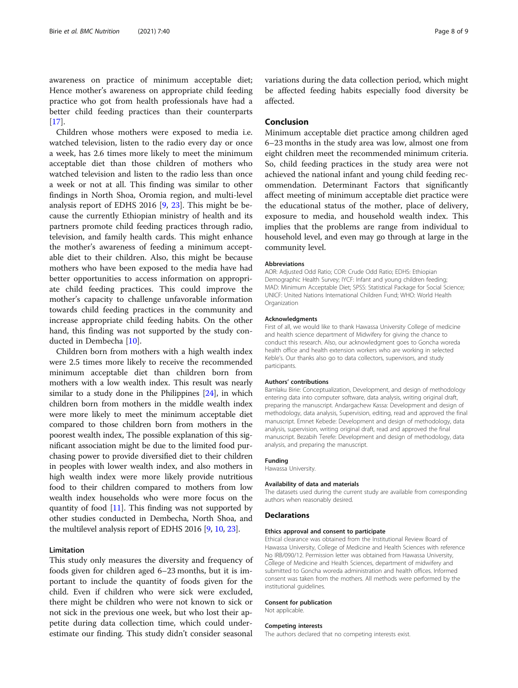awareness on practice of minimum acceptable diet; Hence mother's awareness on appropriate child feeding practice who got from health professionals have had a better child feeding practices than their counterparts  $[17]$  $[17]$ .

Children whose mothers were exposed to media i.e. watched television, listen to the radio every day or once a week, has 2.6 times more likely to meet the minimum acceptable diet than those children of mothers who watched television and listen to the radio less than once a week or not at all. This finding was similar to other findings in North Shoa, Oromia region, and multi-level analysis report of EDHS 2016 [\[9](#page-8-0), [23\]](#page-8-0). This might be because the currently Ethiopian ministry of health and its partners promote child feeding practices through radio, television, and family health cards. This might enhance the mother's awareness of feeding a minimum acceptable diet to their children. Also, this might be because mothers who have been exposed to the media have had better opportunities to access information on appropriate child feeding practices. This could improve the mother's capacity to challenge unfavorable information towards child feeding practices in the community and increase appropriate child feeding habits. On the other hand, this finding was not supported by the study conducted in Dembecha [[10\]](#page-8-0).

Children born from mothers with a high wealth index were 2.5 times more likely to receive the recommended minimum acceptable diet than children born from mothers with a low wealth index. This result was nearly similar to a study done in the Philippines [\[24\]](#page-8-0), in which children born from mothers in the middle wealth index were more likely to meet the minimum acceptable diet compared to those children born from mothers in the poorest wealth index, The possible explanation of this significant association might be due to the limited food purchasing power to provide diversified diet to their children in peoples with lower wealth index, and also mothers in high wealth index were more likely provide nutritious food to their children compared to mothers from low wealth index households who were more focus on the quantity of food [[11](#page-8-0)]. This finding was not supported by other studies conducted in Dembecha, North Shoa, and the multilevel analysis report of EDHS 2016 [\[9](#page-8-0), [10,](#page-8-0) [23\]](#page-8-0).

#### Limitation

This study only measures the diversity and frequency of foods given for children aged 6–23 months, but it is important to include the quantity of foods given for the child. Even if children who were sick were excluded, there might be children who were not known to sick or not sick in the previous one week, but who lost their appetite during data collection time, which could underestimate our finding. This study didn't consider seasonal variations during the data collection period, which might be affected feeding habits especially food diversity be affected.

# Conclusion

Minimum acceptable diet practice among children aged 6–23 months in the study area was low, almost one from eight children meet the recommended minimum criteria. So, child feeding practices in the study area were not achieved the national infant and young child feeding recommendation. Determinant Factors that significantly affect meeting of minimum acceptable diet practice were the educational status of the mother, place of delivery, exposure to media, and household wealth index. This implies that the problems are range from individual to household level, and even may go through at large in the community level.

#### Abbreviations

AOR: Adjusted Odd Ratio; COR: Crude Odd Ratio; EDHS: Ethiopian Demographic Health Survey; IYCF: Infant and young children feeding; MAD: Minimum Acceptable Diet; SPSS: Statistical Package for Social Science; UNICF: United Nations International Children Fund; WHO: World Health **Organization** 

#### Acknowledgments

First of all, we would like to thank Hawassa University College of medicine and health science department of Midwifery for giving the chance to conduct this research. Also, our acknowledgment goes to Goncha woreda health office and health extension workers who are working in selected Keble's. Our thanks also go to data collectors, supervisors, and study participants.

#### Authors' contributions

Bamlaku Birie: Conceptualization, Development, and design of methodology entering data into computer software, data analysis, writing original draft, preparing the manuscript. Andargachew Kassa: Development and design of methodology, data analysis, Supervision, editing, read and approved the final manuscript. Emnet Kebede: Development and design of methodology, data analysis, supervision, writing original draft, read and approved the final manuscript. Bezabih Terefe: Development and design of methodology, data analysis, and preparing the manuscript.

#### Funding

Hawassa University.

#### Availability of data and materials

The datasets used during the current study are available from corresponding authors when reasonably desired.

### Declarations

#### Ethics approval and consent to participate

Ethical clearance was obtained from the Institutional Review Board of Hawassa University, College of Medicine and Health Sciences with reference No IRB/090/12. Permission letter was obtained from Hawassa University, College of Medicine and Health Sciences, department of midwifery and submitted to Goncha woreda administration and health offices. Informed consent was taken from the mothers. All methods were performed by the institutional guidelines.

#### Consent for publication

Not applicable.

#### Competing interests

The authors declared that no competing interests exist.